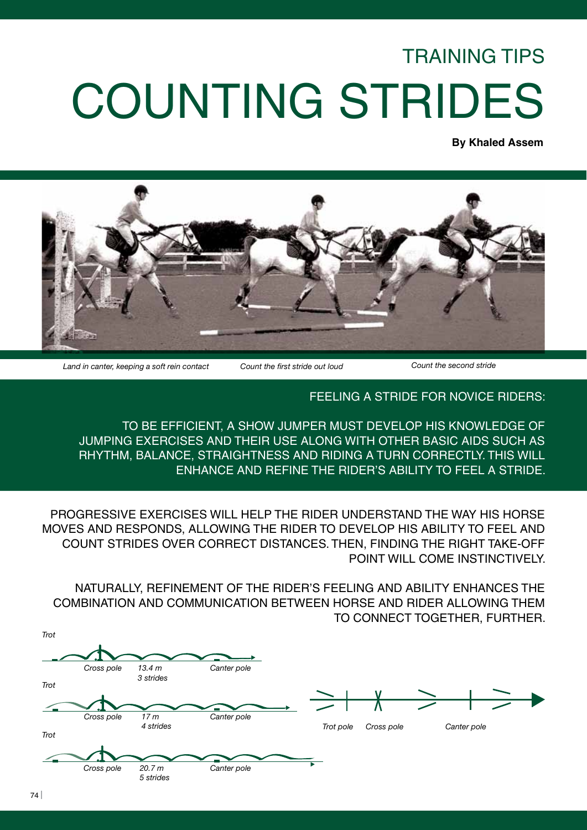## TRAINING TIPS COUNTING STRIDES

**By Khaled Assem**



*Land in canter, keeping a soft rein contact Count the first stride out loud Count the second stride*

FEELING A STRIDE FOR NOVICE RIDERS:

TO BE EFFICIENT, A SHOW JUMPER MUST DEVELOP HIS KNOWLEDGE OF JUMPING EXERCISES AND THEIR USE ALONG WITH OTHER BASIC AIDS SUCH AS RHYTHM, BALANCE, STRAIGHTNESS AND RIDING A TURN CORRECTLY. THIS WILL ENHANCE AND REFINE THE RIDER'S ABILITY TO FEEL A STRIDE.

PROGRESSIVE EXERCISES WILL HELP THE RIDER UNDERSTAND THE WAY HIS HORSE MOVES AND RESPONDS, ALLOWING THE RIDER TO DEVELOP HIS ABILITY TO FEEL AND COUNT STRIDES OVER CORRECT DISTANCES. THEN, FINDING THE RIGHT TAKE-OFF POINT WILL COME INSTINCTIVELY.

NATURALLY, REFINEMENT OF THE RIDER'S FEELING AND ABILITY ENHANCES THE COMBINATION AND COMMUNICATION BETWEEN HORSE AND RIDER ALLOWING THEM TO CONNECT TOGETHER, FURTHER.